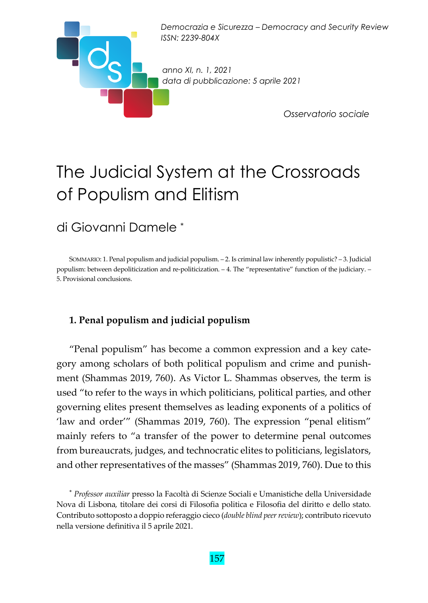

# The Judicial System at the Crossroads of Populism and Elitism

### di Giovanni Damele \*

SOMMARIO: 1. Penal populism and judicial populism. – 2. Is criminal law inherently populistic? – 3. Judicial populism: between depoliticization and re-politicization. – 4. The "representative" function of the judiciary. – 5. Provisional conclusions.

#### **1. Penal populism and judicial populism**

"Penal populism" has become a common expression and a key cate‐ gory among scholars of both political populism and crime and punish‐ ment (Shammas 2019, 760). As Victor L. Shammas observes, the term is used "to refer to the ways in which politicians, political parties, and other governing elites present themselves as leading exponents of a politics of 'law and order'" (Shammas 2019, 760). The expression "penal elitism" mainly refers to "a transfer of the power to determine penal outcomes from bureaucrats, judges, and technocratic elites to politicians, legislators, and other representatives of the masses" (Shammas 2019, 760). Due to this

<sup>\*</sup> *Professor auxiliar* presso la Facoltà di Scienze Sociali e Umanistiche della Universidade Nova di Lisbona*,* titolare dei corsi di Filosofia politica e Filosofia del diritto e dello stato*.* Contributo sottoposto a doppio referaggio cieco (*double blind peerreview*); contributo ricevuto nella versione definitiva il 5 aprile 2021.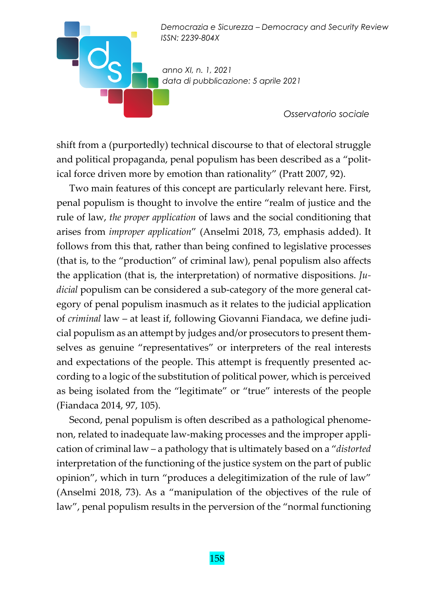*anno XI, n. 1, 2021 data di pubblicazione: 5 aprile 2021* 

 $O_{\epsilon}$ 

*Osservatorio sociale* 

shift from a (purportedly) technical discourse to that of electoral struggle and political propaganda, penal populism has been described as a "political force driven more by emotion than rationality" (Pratt 2007, 92).

Two main features of this concept are particularly relevant here. First, penal populism is thought to involve the entire "realm of justice and the rule of law, *the proper application* of laws and the social conditioning that arises from *improper application*" (Anselmi 2018, 73, emphasis added). It follows from this that, rather than being confined to legislative processes (that is, to the "production" of criminal law), penal populism also affects the application (that is, the interpretation) of normative dispositions. *Ju‐ dicial* populism can be considered a sub‐category of the more general cat‐ egory of penal populism inasmuch as it relates to the judicial application of *criminal* law – at least if, following Giovanni Fiandaca, we define judi‐ cial populism as an attempt by judges and/or prosecutors to present them‐ selves as genuine "representatives" or interpreters of the real interests and expectations of the people. This attempt is frequently presented according to a logic of the substitution of political power, which is perceived as being isolated from the "legitimate" or "true" interests of the people (Fiandaca 2014, 97, 105).

Second, penal populism is often described as a pathological phenome‐ non, related to inadequate law‐making processes and the improper appli‐ cation of criminal law – a pathology that is ultimately based on a "*distorted* interpretation of the functioning of the justice system on the part of public opinion", which in turn "produces a delegitimization of the rule of law" (Anselmi 2018, 73). As a "manipulation of the objectives of the rule of law", penal populism results in the perversion of the "normal functioning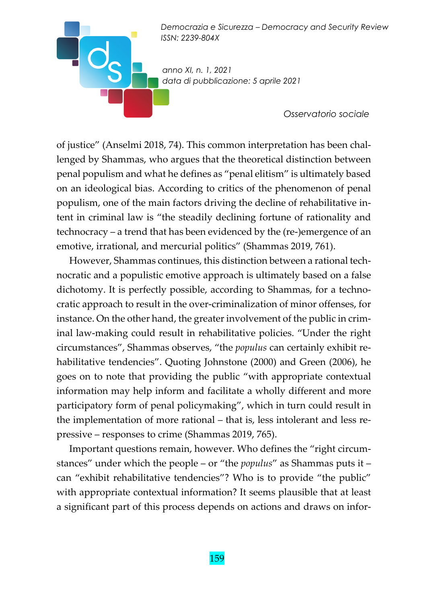*anno XI, n. 1, 2021 data di pubblicazione: 5 aprile 2021* 

 $\blacksquare$ 

*Osservatorio sociale* 

of justice" (Anselmi 2018, 74). This common interpretation has been chal‐ lenged by Shammas, who argues that the theoretical distinction between penal populism and what he defines as "penal elitism" is ultimately based on an ideological bias. According to critics of the phenomenon of penal populism, one of the main factors driving the decline of rehabilitative in‐ tent in criminal law is "the steadily declining fortune of rationality and technocracy – a trend that has been evidenced by the (re‐)emergence of an emotive, irrational, and mercurial politics" (Shammas 2019, 761).

However, Shammas continues, this distinction between a rational tech‐ nocratic and a populistic emotive approach is ultimately based on a false dichotomy. It is perfectly possible, according to Shammas, for a techno‐ cratic approach to result in the over‐criminalization of minor offenses, for instance. On the other hand, the greater involvement of the public in criminal law‐making could result in rehabilitative policies. "Under the right circumstances", Shammas observes, "the *populus* can certainly exhibit re‐ habilitative tendencies". Quoting Johnstone (2000) and Green (2006), he goes on to note that providing the public "with appropriate contextual information may help inform and facilitate a wholly different and more participatory form of penal policymaking", which in turn could result in the implementation of more rational – that is, less intolerant and less repressive – responses to crime (Shammas 2019, 765).

Important questions remain, however. Who defines the "right circum‐ stances" under which the people – or "the *populus*" as Shammas puts it – can "exhibit rehabilitative tendencies"? Who is to provide "the public" with appropriate contextual information? It seems plausible that at least a significant part of this process depends on actions and draws on infor‐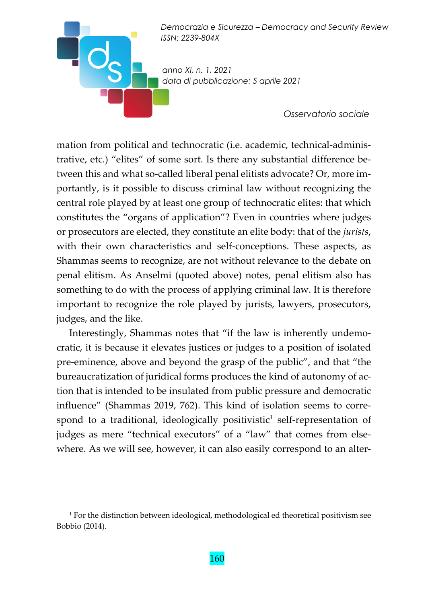*anno XI, n. 1, 2021 data di pubblicazione: 5 aprile 2021* 

 $O_{\text{S}}$ 

*Osservatorio sociale* 

mation from political and technocratic (i.e. academic, technical-administrative, etc.) "elites" of some sort. Is there any substantial difference be‐ tween this and what so-called liberal penal elitists advocate? Or, more importantly, is it possible to discuss criminal law without recognizing the central role played by at least one group of technocratic elites: that which constitutes the "organs of application"? Even in countries where judges or prosecutors are elected, they constitute an elite body: that of the *jurists*, with their own characteristics and self‐conceptions. These aspects, as Shammas seems to recognize, are not without relevance to the debate on penal elitism. As Anselmi (quoted above) notes, penal elitism also has something to do with the process of applying criminal law. It is therefore important to recognize the role played by jurists, lawyers, prosecutors, judges, and the like.

Interestingly, Shammas notes that "if the law is inherently undemo‐ cratic, it is because it elevates justices or judges to a position of isolated pre‐eminence, above and beyond the grasp of the public", and that "the bureaucratization of juridical forms produces the kind of autonomy of ac‐ tion that is intended to be insulated from public pressure and democratic influence" (Shammas 2019, 762). This kind of isolation seems to correspond to a traditional, ideologically positivistic<sup>1</sup> self-representation of judges as mere "technical executors" of a "law" that comes from elsewhere. As we will see, however, it can also easily correspond to an alter-

<sup>&</sup>lt;sup>1</sup> For the distinction between ideological, methodological ed theoretical positivism see Bobbio (2014).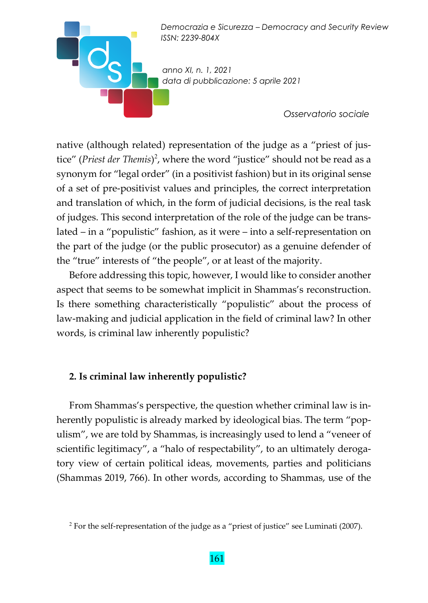

native (although related) representation of the judge as a "priest of justice" (*Priest der Themis*) 2 , where the word "justice" should not be read as a synonym for "legal order" (in a positivist fashion) but in its original sense of a set of pre‐positivist values and principles, the correct interpretation and translation of which, in the form of judicial decisions, is the real task of judges. This second interpretation of the role of the judge can be trans‐ lated – in a "populistic" fashion, as it were – into a self‐representation on the part of the judge (or the public prosecutor) as a genuine defender of the "true" interests of "the people", or at least of the majority.

Before addressing this topic, however, I would like to consider another aspect that seems to be somewhat implicit in Shammas's reconstruction. Is there something characteristically "populistic" about the process of law‐making and judicial application in the field of criminal law? In other words, is criminal law inherently populistic?

#### **2. Is criminal law inherently populistic?**

From Shammas's perspective, the question whether criminal law is in‐ herently populistic is already marked by ideological bias. The term "populism", we are told by Shammas, is increasingly used to lend a "veneer of scientific legitimacy", a "halo of respectability", to an ultimately deroga‐ tory view of certain political ideas, movements, parties and politicians (Shammas 2019, 766). In other words, according to Shammas, use of the

<sup>&</sup>lt;sup>2</sup> For the self-representation of the judge as a "priest of justice" see Luminati (2007).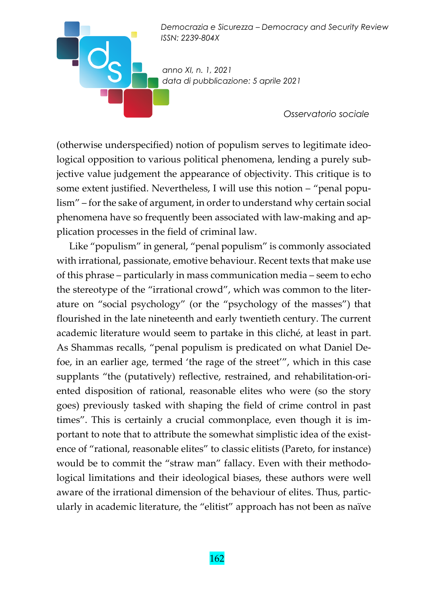*anno XI, n. 1, 2021 data di pubblicazione: 5 aprile 2021* 

 $\mathsf{L}\mathsf{C}$ 

*Osservatorio sociale* 

(otherwise underspecified) notion of populism serves to legitimate ideo‐ logical opposition to various political phenomena, lending a purely subjective value judgement the appearance of objectivity. This critique is to some extent justified. Nevertheless, I will use this notion – "penal populism" – for the sake of argument, in order to understand why certain social phenomena have so frequently been associated with law‐making and ap‐ plication processes in the field of criminal law.

Like "populism" in general, "penal populism" is commonly associated with irrational, passionate, emotive behaviour. Recent texts that make use of this phrase – particularly in mass communication media – seem to echo the stereotype of the "irrational crowd", which was common to the liter‐ ature on "social psychology" (or the "psychology of the masses") that flourished in the late nineteenth and early twentieth century. The current academic literature would seem to partake in this cliché, at least in part. As Shammas recalls, "penal populism is predicated on what Daniel De‐ foe, in an earlier age, termed 'the rage of the street'", which in this case supplants "the (putatively) reflective, restrained, and rehabilitation-oriented disposition of rational, reasonable elites who were (so the story goes) previously tasked with shaping the field of crime control in past times". This is certainly a crucial commonplace, even though it is im‐ portant to note that to attribute the somewhat simplistic idea of the existence of "rational, reasonable elites" to classic elitists (Pareto, for instance) would be to commit the "straw man" fallacy. Even with their methodological limitations and their ideological biases, these authors were well aware of the irrational dimension of the behaviour of elites. Thus, partic‐ ularly in academic literature, the "elitist" approach has not been as naïve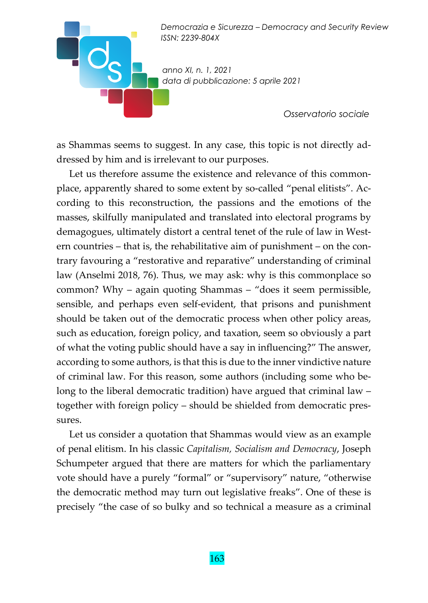*anno XI, n. 1, 2021 data di pubblicazione: 5 aprile 2021* 

*Osservatorio sociale* 

as Shammas seems to suggest. In any case, this topic is not directly ad‐ dressed by him and is irrelevant to our purposes.

Let us therefore assume the existence and relevance of this commonplace, apparently shared to some extent by so‐called "penal elitists". Ac‐ cording to this reconstruction, the passions and the emotions of the masses, skilfully manipulated and translated into electoral programs by demagogues, ultimately distort a central tenet of the rule of law in West‐ ern countries – that is, the rehabilitative aim of punishment – on the contrary favouring a "restorative and reparative" understanding of criminal law (Anselmi 2018, 76). Thus, we may ask: why is this commonplace so common? Why – again quoting Shammas – "does it seem permissible, sensible, and perhaps even self-evident, that prisons and punishment should be taken out of the democratic process when other policy areas, such as education, foreign policy, and taxation, seem so obviously a part of what the voting public should have a say in influencing?" The answer, according to some authors, is that this is due to the inner vindictive nature of criminal law. For this reason, some authors (including some who be‐ long to the liberal democratic tradition) have argued that criminal law – together with foreign policy – should be shielded from democratic pres‐ sures.

Let us consider a quotation that Shammas would view as an example of penal elitism. In his classic *Capitalism, Socialism and Democracy*, Joseph Schumpeter argued that there are matters for which the parliamentary vote should have a purely "formal" or "supervisory" nature, "otherwise the democratic method may turn out legislative freaks". One of these is precisely "the case of so bulky and so technical a measure as a criminal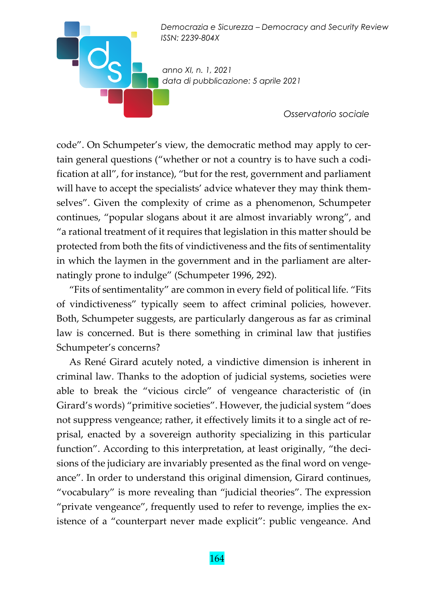*anno XI, n. 1, 2021 data di pubblicazione: 5 aprile 2021* 

*Osservatorio sociale* 

code". On Schumpeter's view, the democratic method may apply to certain general questions ("whether or not a country is to have such a codi‐ fication at all", for instance), "but for the rest, government and parliament will have to accept the specialists' advice whatever they may think themselves". Given the complexity of crime as a phenomenon, Schumpeter continues, "popular slogans about it are almost invariably wrong", and "a rational treatment of it requires that legislation in this matter should be protected from both the fits of vindictiveness and the fits of sentimentality in which the laymen in the government and in the parliament are alternatingly prone to indulge" (Schumpeter 1996, 292).

"Fits of sentimentality" are common in every field of political life. "Fits of vindictiveness" typically seem to affect criminal policies, however. Both, Schumpeter suggests, are particularly dangerous as far as criminal law is concerned. But is there something in criminal law that justifies Schumpeter's concerns?

As René Girard acutely noted, a vindictive dimension is inherent in criminal law. Thanks to the adoption of judicial systems, societies were able to break the "vicious circle" of vengeance characteristic of (in Girard's words) "primitive societies". However, the judicial system "does not suppress vengeance; rather, it effectively limits it to a single act of re‐ prisal, enacted by a sovereign authority specializing in this particular function". According to this interpretation, at least originally, "the decisions of the judiciary are invariably presented as the final word on vengeance". In order to understand this original dimension, Girard continues, "vocabulary" is more revealing than "judicial theories". The expression "private vengeance", frequently used to refer to revenge, implies the ex‐ istence of a "counterpart never made explicit": public vengeance. And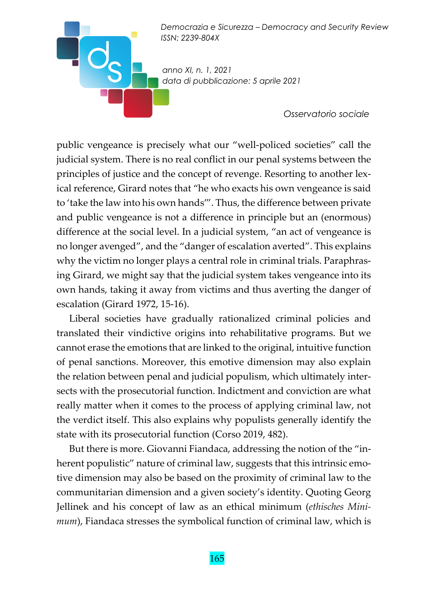*anno XI, n. 1, 2021 data di pubblicazione: 5 aprile 2021* 

*Osservatorio sociale* 

public vengeance is precisely what our "well‐policed societies" call the judicial system. There is no real conflict in our penal systems between the principles of justice and the concept of revenge. Resorting to another lexical reference, Girard notes that "he who exacts his own vengeance is said to 'take the law into his own hands'". Thus, the difference between private and public vengeance is not a difference in principle but an (enormous) difference at the social level. In a judicial system, "an act of vengeance is no longer avenged", and the "danger of escalation averted". This explains why the victim no longer plays a central role in criminal trials. Paraphrasing Girard, we might say that the judicial system takes vengeance into its own hands, taking it away from victims and thus averting the danger of escalation (Girard 1972, 15‐16).

Liberal societies have gradually rationalized criminal policies and translated their vindictive origins into rehabilitative programs. But we cannot erase the emotions that are linked to the original, intuitive function of penal sanctions. Moreover, this emotive dimension may also explain the relation between penal and judicial populism, which ultimately inter‐ sects with the prosecutorial function. Indictment and conviction are what really matter when it comes to the process of applying criminal law, not the verdict itself. This also explains why populists generally identify the state with its prosecutorial function (Corso 2019, 482).

But there is more. Giovanni Fiandaca, addressing the notion of the "inherent populistic" nature of criminal law, suggests that this intrinsic emotive dimension may also be based on the proximity of criminal law to the communitarian dimension and a given society's identity. Quoting Georg Jellinek and his concept of law as an ethical minimum (*ethisches Mini‐ mum*), Fiandaca stresses the symbolical function of criminal law, which is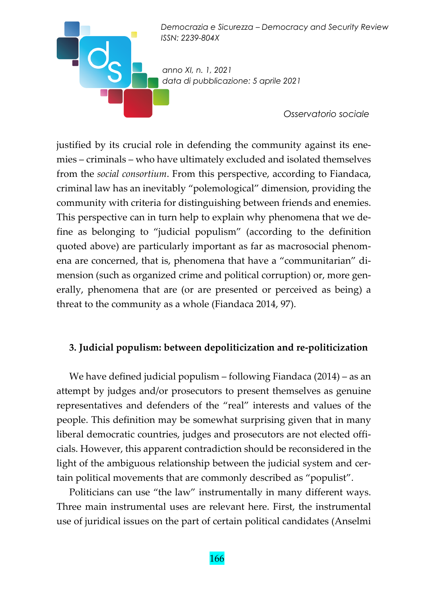

justified by its crucial role in defending the community against its ene‐ mies – criminals – who have ultimately excluded and isolated themselves from the *social consortium*. From this perspective, according to Fiandaca, criminal law has an inevitably "polemological" dimension, providing the community with criteria for distinguishing between friends and enemies. This perspective can in turn help to explain why phenomena that we de‐ fine as belonging to "judicial populism" (according to the definition quoted above) are particularly important as far as macrosocial phenom‐ ena are concerned, that is, phenomena that have a "communitarian" di‐ mension (such as organized crime and political corruption) or, more generally, phenomena that are (or are presented or perceived as being) a threat to the community as a whole (Fiandaca 2014, 97).

#### **3. Judicial populism: between depoliticization and re‐politicization**

We have defined judicial populism – following Fiandaca (2014) – as an attempt by judges and/or prosecutors to present themselves as genuine representatives and defenders of the "real" interests and values of the people. This definition may be somewhat surprising given that in many liberal democratic countries, judges and prosecutors are not elected officials. However, this apparent contradiction should be reconsidered in the light of the ambiguous relationship between the judicial system and certain political movements that are commonly described as "populist".

Politicians can use "the law" instrumentally in many different ways. Three main instrumental uses are relevant here. First, the instrumental use of juridical issues on the part of certain political candidates (Anselmi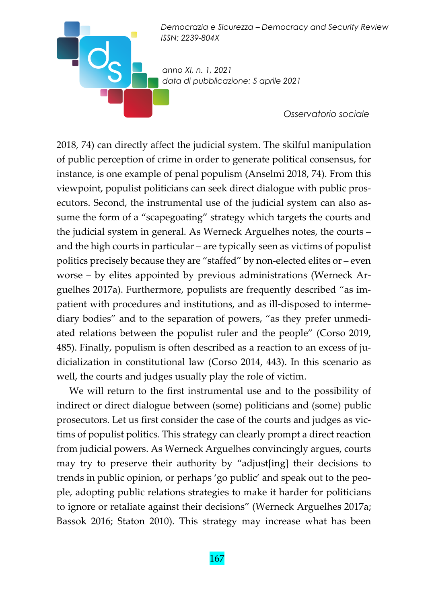*anno XI, n. 1, 2021 data di pubblicazione: 5 aprile 2021* 

 $\circ$ 

*Osservatorio sociale* 

2018, 74) can directly affect the judicial system. The skilful manipulation of public perception of crime in order to generate political consensus, for instance, is one example of penal populism (Anselmi 2018, 74). From this viewpoint, populist politicians can seek direct dialogue with public pros‐ ecutors. Second, the instrumental use of the judicial system can also assume the form of a "scapegoating" strategy which targets the courts and the judicial system in general. As Werneck Arguelhes notes, the courts – and the high courts in particular – are typically seen as victims of populist politics precisely because they are "staffed" by non‐elected elites or – even worse – by elites appointed by previous administrations (Werneck Arguelhes 2017a). Furthermore, populists are frequently described "as im‐ patient with procedures and institutions, and as ill‐disposed to interme‐ diary bodies" and to the separation of powers, "as they prefer unmedi‐ ated relations between the populist ruler and the people" (Corso 2019, 485). Finally, populism is often described as a reaction to an excess of judicialization in constitutional law (Corso 2014, 443). In this scenario as well, the courts and judges usually play the role of victim.

We will return to the first instrumental use and to the possibility of indirect or direct dialogue between (some) politicians and (some) public prosecutors. Let us first consider the case of the courts and judges as vic‐ tims of populist politics. This strategy can clearly prompt a direct reaction from judicial powers. As Werneck Arguelhes convincingly argues, courts may try to preserve their authority by "adjust[ing] their decisions to trends in public opinion, or perhaps 'go public' and speak out to the peo‐ ple, adopting public relations strategies to make it harder for politicians to ignore or retaliate against their decisions" (Werneck Arguelhes 2017a; Bassok 2016; Staton 2010). This strategy may increase what has been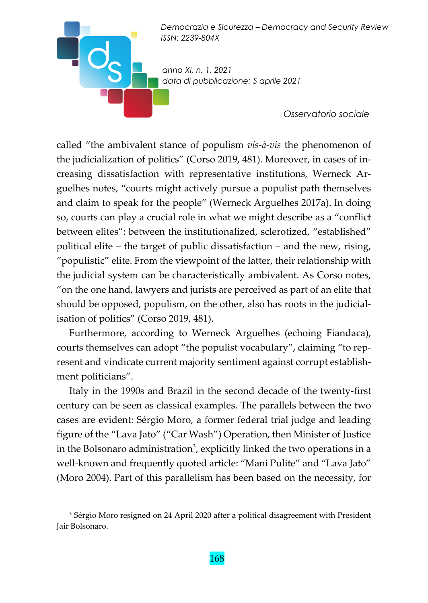*anno XI, n. 1, 2021 data di pubblicazione: 5 aprile 2021* 

 $O_{\text{S}}$ 

*Osservatorio sociale* 

called "the ambivalent stance of populism *vis‐à‐vis* the phenomenon of the judicialization of politics" (Corso 2019, 481). Moreover, in cases of in‐ creasing dissatisfaction with representative institutions, Werneck Ar‐ guelhes notes, "courts might actively pursue a populist path themselves and claim to speak for the people" (Werneck Arguelhes 2017a). In doing so, courts can play a crucial role in what we might describe as a "conflict between elites": between the institutionalized, sclerotized, "established" political elite – the target of public dissatisfaction – and the new, rising, "populistic" elite. From the viewpoint of the latter, their relationship with the judicial system can be characteristically ambivalent. As Corso notes, "on the one hand, lawyers and jurists are perceived as part of an elite that should be opposed, populism, on the other, also has roots in the judicial‐ isation of politics" (Corso 2019, 481).

Furthermore, according to Werneck Arguelhes (echoing Fiandaca), courts themselves can adopt "the populist vocabulary", claiming "to rep‐ resent and vindicate current majority sentiment against corrupt establish‐ ment politicians".

Italy in the 1990s and Brazil in the second decade of the twenty‐first century can be seen as classical examples. The parallels between the two cases are evident: Sérgio Moro, a former federal trial judge and leading figure of the "Lava Jato" ("Car Wash") Operation, then Minister of Justice in the Bolsonaro administration $^3$ , explicitly linked the two operations in a well-known and frequently quoted article: "Mani Pulite" and "Lava Jato" (Moro 2004). Part of this parallelism has been based on the necessity, for

<sup>&</sup>lt;sup>3</sup> Sérgio Moro resigned on 24 April 2020 after a political disagreement with President Jair Bolsonaro.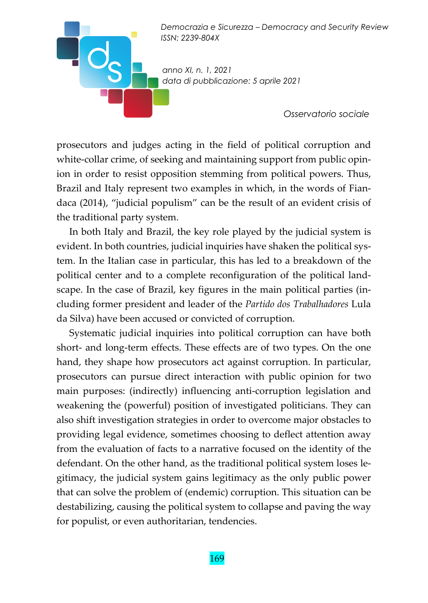*anno XI, n. 1, 2021 data di pubblicazione: 5 aprile 2021* 

 $\blacksquare$ 

*Osservatorio sociale* 

prosecutors and judges acting in the field of political corruption and white-collar crime, of seeking and maintaining support from public opinion in order to resist opposition stemming from political powers. Thus, Brazil and Italy represent two examples in which, in the words of Fian‐ daca (2014), "judicial populism" can be the result of an evident crisis of the traditional party system.

In both Italy and Brazil, the key role played by the judicial system is evident. In both countries, judicial inquiries have shaken the political system. In the Italian case in particular, this has led to a breakdown of the political center and to a complete reconfiguration of the political land‐ scape. In the case of Brazil, key figures in the main political parties (in‐ cluding former president and leader of the *Partido dos Trabalhadores* Lula da Silva) have been accused or convicted of corruption.

Systematic judicial inquiries into political corruption can have both short- and long-term effects. These effects are of two types. On the one hand, they shape how prosecutors act against corruption. In particular, prosecutors can pursue direct interaction with public opinion for two main purposes: (indirectly) influencing anti‐corruption legislation and weakening the (powerful) position of investigated politicians. They can also shift investigation strategies in order to overcome major obstacles to providing legal evidence, sometimes choosing to deflect attention away from the evaluation of facts to a narrative focused on the identity of the defendant. On the other hand, as the traditional political system loses le‐ gitimacy, the judicial system gains legitimacy as the only public power that can solve the problem of (endemic) corruption. This situation can be destabilizing, causing the political system to collapse and paving the way for populist, or even authoritarian, tendencies.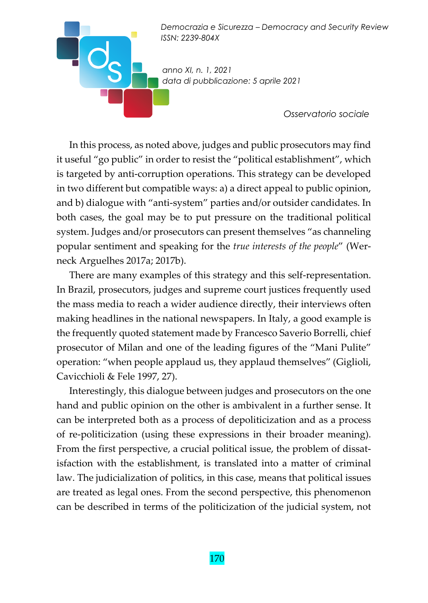

In this process, as noted above, judges and public prosecutors may find it useful "go public" in order to resist the "political establishment", which is targeted by anti-corruption operations. This strategy can be developed in two different but compatible ways: a) a direct appeal to public opinion, and b) dialogue with "anti‐system" parties and/or outsider candidates. In both cases, the goal may be to put pressure on the traditional political system. Judges and/or prosecutors can present themselves "as channeling popular sentiment and speaking for the *true interests of the people*" (Wer‐ neck Arguelhes 2017a; 2017b).

There are many examples of this strategy and this self‐representation. In Brazil, prosecutors, judges and supreme court justices frequently used the mass media to reach a wider audience directly, their interviews often making headlines in the national newspapers. In Italy, a good example is the frequently quoted statement made by Francesco Saverio Borrelli, chief prosecutor of Milan and one of the leading figures of the "Mani Pulite" operation: "when people applaud us, they applaud themselves" (Giglioli, Cavicchioli & Fele 1997, 27).

Interestingly, this dialogue between judges and prosecutors on the one hand and public opinion on the other is ambivalent in a further sense. It can be interpreted both as a process of depoliticization and as a process of re‐politicization (using these expressions in their broader meaning). From the first perspective, a crucial political issue, the problem of dissatisfaction with the establishment, is translated into a matter of criminal law. The judicialization of politics, in this case, means that political issues are treated as legal ones. From the second perspective, this phenomenon can be described in terms of the politicization of the judicial system, not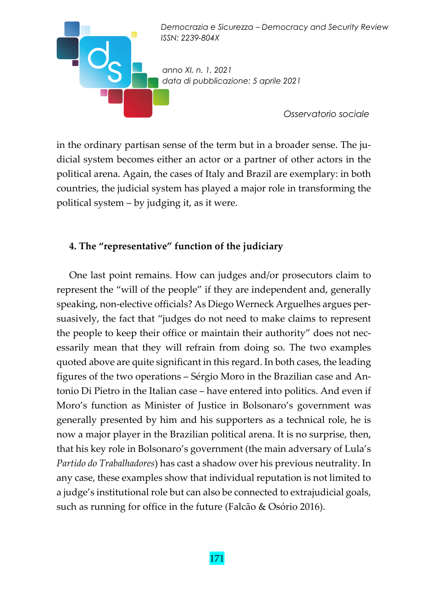

in the ordinary partisan sense of the term but in a broader sense. The judicial system becomes either an actor or a partner of other actors in the political arena. Again, the cases of Italy and Brazil are exemplary: in both countries, the judicial system has played a major role in transforming the political system – by judging it, as it were.

#### **4. The "representative" function of the judiciary**

One last point remains. How can judges and/or prosecutors claim to represent the "will of the people" if they are independent and, generally speaking, non-elective officials? As Diego Werneck Arguelhes argues persuasively, the fact that "judges do not need to make claims to represent the people to keep their office or maintain their authority" does not nec‐ essarily mean that they will refrain from doing so. The two examples quoted above are quite significant in this regard. In both cases, the leading figures of the two operations – Sérgio Moro in the Brazilian case and An‐ tonio Di Pietro in the Italian case – have entered into politics. And even if Moro's function as Minister of Justice in Bolsonaro's government was generally presented by him and his supporters as a technical role, he is now a major player in the Brazilian political arena. It is no surprise, then, that his key role in Bolsonaro's government (the main adversary of Lula's *Partido do Trabalhadores*) has cast a shadow over his previous neutrality. In any case, these examples show that individual reputation is not limited to a judge's institutional role but can also be connected to extrajudicial goals, such as running for office in the future (Falcão & Osório 2016).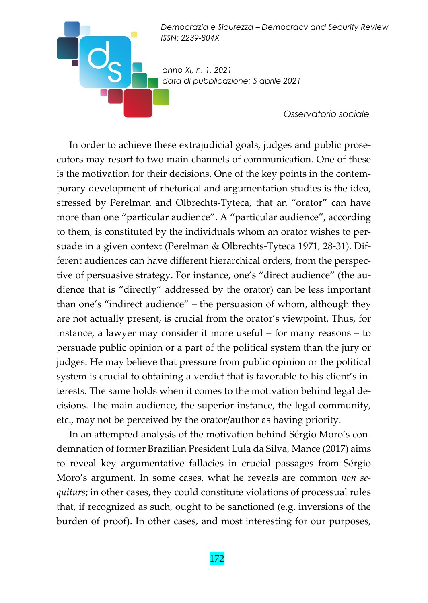*anno XI, n. 1, 2021 data di pubblicazione: 5 aprile 2021* 

*Osservatorio sociale* 

In order to achieve these extrajudicial goals, judges and public prose‐ cutors may resort to two main channels of communication. One of these is the motivation for their decisions. One of the key points in the contemporary development of rhetorical and argumentation studies is the idea, stressed by Perelman and Olbrechts‐Tyteca, that an "orator" can have more than one "particular audience". A "particular audience", according to them, is constituted by the individuals whom an orator wishes to per‐ suade in a given context (Perelman & Olbrechts‐Tyteca 1971, 28‐31). Dif‐ ferent audiences can have different hierarchical orders, from the perspec‐ tive of persuasive strategy. For instance, one's "direct audience" (the au‐ dience that is "directly" addressed by the orator) can be less important than one's "indirect audience" – the persuasion of whom, although they are not actually present, is crucial from the orator's viewpoint. Thus, for instance, a lawyer may consider it more useful – for many reasons – to persuade public opinion or a part of the political system than the jury or judges. He may believe that pressure from public opinion or the political system is crucial to obtaining a verdict that is favorable to his client's interests. The same holds when it comes to the motivation behind legal de‐ cisions. The main audience, the superior instance, the legal community, etc., may not be perceived by the orator/author as having priority.

In an attempted analysis of the motivation behind Sérgio Moro's condemnation of former Brazilian President Lula da Silva, Mance (2017) aims to reveal key argumentative fallacies in crucial passages from Sérgio Moro's argument. In some cases, what he reveals are common *non se‐ quiturs*; in other cases, they could constitute violations of processual rules that, if recognized as such, ought to be sanctioned (e.g. inversions of the burden of proof). In other cases, and most interesting for our purposes,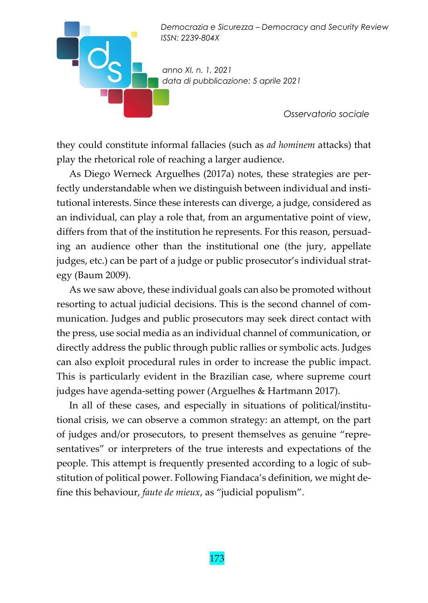*anno XI, n. 1, 2021 data di pubblicazione: 5 aprile 2021* 

*Osservatorio sociale* 

they could constitute informal fallacies (such as *ad hominem* attacks) that play the rhetorical role of reaching a larger audience.

As Diego Werneck Arguelhes (2017a) notes, these strategies are per‐ fectly understandable when we distinguish between individual and insti‐ tutional interests. Since these interests can diverge, a judge, considered as an individual, can play a role that, from an argumentative point of view, differs from that of the institution he represents. For this reason, persuad‐ ing an audience other than the institutional one (the jury, appellate judges, etc.) can be part of a judge or public prosecutor's individual strat‐ egy (Baum 2009).

As we saw above, these individual goals can also be promoted without resorting to actual judicial decisions. This is the second channel of com‐ munication. Judges and public prosecutors may seek direct contact with the press, use social media as an individual channel of communication, or directly address the public through public rallies or symbolic acts. Judges can also exploit procedural rules in order to increase the public impact. This is particularly evident in the Brazilian case, where supreme court judges have agenda-setting power (Arguelhes & Hartmann 2017).

In all of these cases, and especially in situations of political/institutional crisis, we can observe a common strategy: an attempt, on the part of judges and/or prosecutors, to present themselves as genuine "repre‐ sentatives" or interpreters of the true interests and expectations of the people. This attempt is frequently presented according to a logic of substitution of political power. Following Fiandaca's definition, we might de‐ fine this behaviour, *faute de mieux*, as "judicial populism".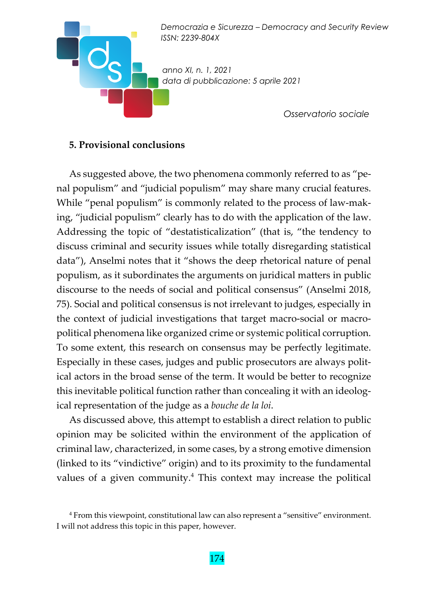

#### **5. Provisional conclusions**

As suggested above, the two phenomena commonly referred to as "penal populism" and "judicial populism" may share many crucial features. While "penal populism" is commonly related to the process of law-making, "judicial populism" clearly has to do with the application of the law. Addressing the topic of "destatisticalization" (that is, "the tendency to discuss criminal and security issues while totally disregarding statistical data"), Anselmi notes that it "shows the deep rhetorical nature of penal populism, as it subordinates the arguments on juridical matters in public discourse to the needs of social and political consensus" (Anselmi 2018, 75). Social and political consensus is not irrelevant to judges, especially in the context of judicial investigations that target macro‐social or macro‐ political phenomena like organized crime or systemic political corruption. To some extent, this research on consensus may be perfectly legitimate. Especially in these cases, judges and public prosecutors are always polit‐ ical actors in the broad sense of the term. It would be better to recognize this inevitable political function rather than concealing it with an ideolog‐ ical representation of the judge as a *bouche de la loi*.

As discussed above, this attempt to establish a direct relation to public opinion may be solicited within the environment of the application of criminal law, characterized, in some cases, by a strong emotive dimension (linked to its "vindictive" origin) and to its proximity to the fundamental values of a given community.<sup>4</sup> This context may increase the political

<sup>4</sup> From this viewpoint, constitutional law can also represent a "sensitive" environment. I will not address this topic in this paper, however.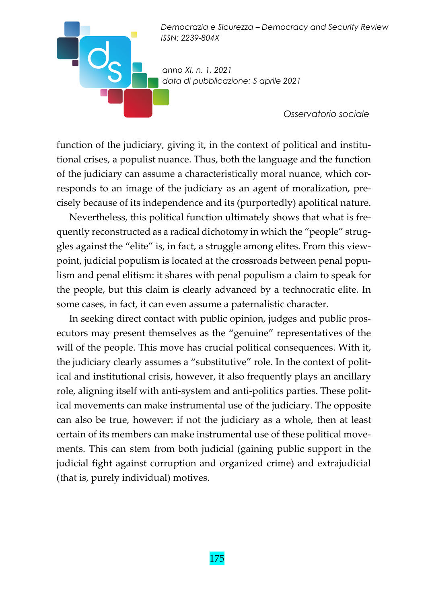*anno XI, n. 1, 2021 data di pubblicazione: 5 aprile 2021* 

*Osservatorio sociale* 

function of the judiciary, giving it, in the context of political and institutional crises, a populist nuance. Thus, both the language and the function of the judiciary can assume a characteristically moral nuance, which cor‐ responds to an image of the judiciary as an agent of moralization, precisely because of its independence and its (purportedly) apolitical nature.

Nevertheless, this political function ultimately shows that what is fre‐ quently reconstructed as a radical dichotomy in which the "people" strug‐ gles against the "elite" is, in fact, a struggle among elites. From this view‐ point, judicial populism is located at the crossroads between penal populism and penal elitism: it shares with penal populism a claim to speak for the people, but this claim is clearly advanced by a technocratic elite. In some cases, in fact, it can even assume a paternalistic character.

In seeking direct contact with public opinion, judges and public pros‐ ecutors may present themselves as the "genuine" representatives of the will of the people. This move has crucial political consequences. With it, the judiciary clearly assumes a "substitutive" role. In the context of political and institutional crisis, however, it also frequently plays an ancillary role, aligning itself with anti‐system and anti‐politics parties. These polit‐ ical movements can make instrumental use of the judiciary. The opposite can also be true, however: if not the judiciary as a whole, then at least certain of its members can make instrumental use of these political movements. This can stem from both judicial (gaining public support in the judicial fight against corruption and organized crime) and extrajudicial (that is, purely individual) motives.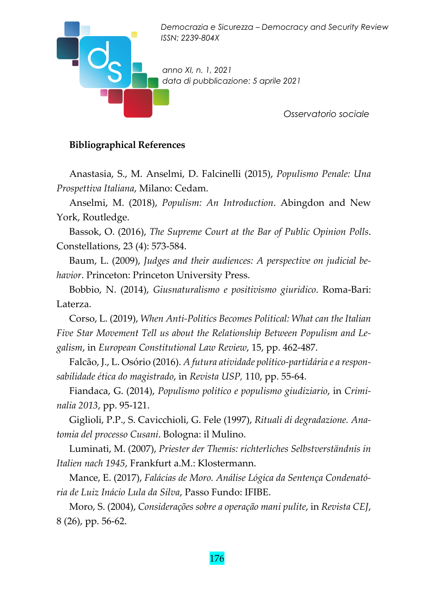

#### **Bibliographical References**

Anastasia, S., M. Anselmi, D. Falcinelli (2015), *Populismo Penale: Una Prospettiva Italiana*, Milano: Cedam.

Anselmi, M. (2018), *Populism: An Introduction*. Abingdon and New York, Routledge.

Bassok, O. (2016), *The Supreme Court at the Bar of Public Opinion Polls*. Constellations, 23 (4): 573‐584.

Baum, L. (2009), *Judges and their audiences: A perspective on judicial be‐ havior*. Princeton: Princeton University Press.

Bobbio, N. (2014), *Giusnaturalismo e positivismo giuridico*. Roma‐Bari: Laterza.

Corso, L. (2019), *When Anti‐Politics Becomes Political: What can the Italian Five Star Movement Tell us about the Relationship Between Populism and Le‐ galism*, in *European Constitutional Law Review*, 15, pp. 462‐487.

Falcão, J., L. Osório (2016). *A futura atividade político‐partidária e a respon‐ sabilidade ética do magistrado*, in *Revista USP,* 110, pp. 55‐64.

Fiandaca, G. (2014), *Populismo politico e populismo giudiziario*, in *Crimi‐ nalia 2013*, pp. 95‐121.

Giglioli, P.P., S. Cavicchioli, G. Fele (1997), *Rituali di degradazione. Ana‐ tomia del processo Cusani*. Bologna: il Mulino.

Luminati, M. (2007), *Priester der Themis: richterliches Selbstverständnis in Italien nach 1945*, Frankfurt a.M.: Klostermann.

Mance, E. (2017), *Falácias de Moro. Análise Lógica da Sentença Condenató‐ ria de Luiz Inácio Lula da Silva*, Passo Fundo: IFIBE.

Moro, S. (2004), *Considerações sobre a operação mani pulite*, in *Revista CEJ*, 8 (26), pp. 56‐62.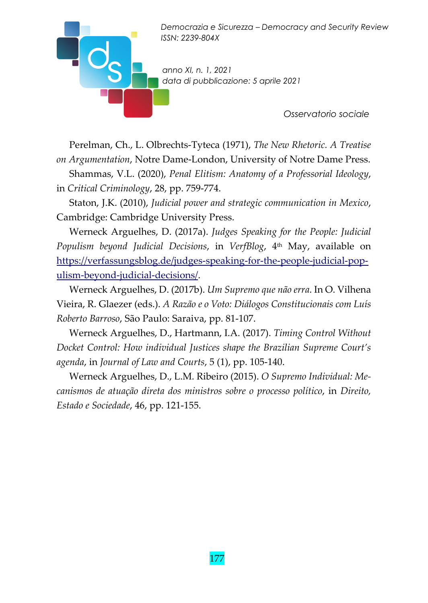*anno XI, n. 1, 2021 data di pubblicazione: 5 aprile 2021* 

*Osservatorio sociale* 

Perelman, Ch., L. Olbrechts‐Tyteca (1971), *The New Rhetoric. A Treatise on Argumentation*, Notre Dame‐London, University of Notre Dame Press.

Shammas, V.L. (2020), *Penal Elitism: Anatomy of a Professorial Ideology*, in *Critical Criminology*, 28, pp. 759‐774.

Staton, J.K. (2010), *Judicial power and strategic communication in Mexico*, Cambridge: Cambridge University Press.

Werneck Arguelhes, D. (2017a). *Judges Speaking for the People: Judicial Populism beyond Judicial Decisions*, in *VerfBlog*, 4th May, available on https://verfassungsblog.de/judges-speaking-for-the-people-judicial-populism‐beyond‐judicial‐decisions/.

Werneck Arguelhes, D. (2017b). *Um Supremo que não erra*. In O. Vilhena Vieira, R. Glaezer (eds.). *A Razão e o Voto: Diálogos Constitucionais com Luís Roberto Barroso*, São Paulo: Saraiva, pp. 81‐107.

Werneck Arguelhes, D., Hartmann, I.A. (2017). *Timing Control Without Docket Control: How individual Justices shape the Brazilian Supreme Court's agenda*, in *Journal of Law and Courts*, 5 (1), pp. 105‐140.

Werneck Arguelhes, D., L.M. Ribeiro (2015). *O Supremo Individual: Me‐ canismos de atuação direta dos ministros sobre o processo político*, in *Direito, Estado e Sociedade*, 46, pp. 121‐155.